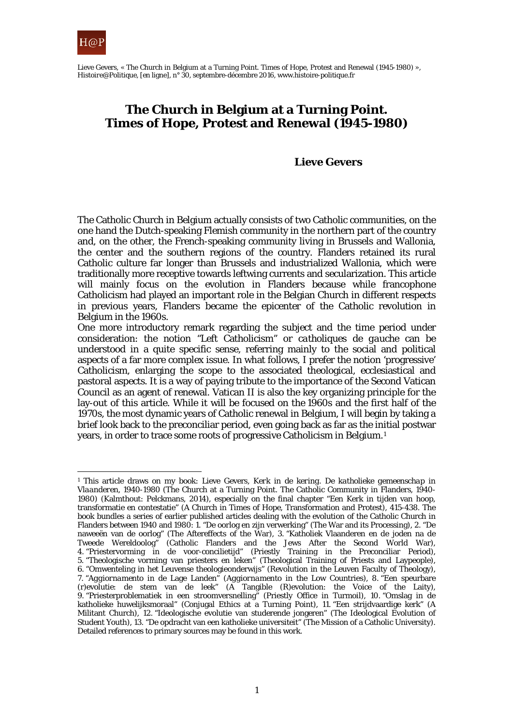

Lieve Gevers, « The Church in Belgium at a Turning Point. Times of Hope, Protest and Renewal (1945-1980) », *Histoire@Politique*, [en ligne], n° 30, septembre-décembre 2016, www.histoire-politique.fr

# **The Church in Belgium at a Turning Point. Times of Hope, Protest and Renewal (1945-1980)**

#### **Lieve Gevers**

The Catholic Church in Belgium actually consists of two Catholic communities, on the one hand the Dutch-speaking Flemish community in the northern part of the country and, on the other, the French-speaking community living in Brussels and Wallonia, the center and the southern regions of the country. Flanders retained its rural Catholic culture far longer than Brussels and industrialized Wallonia, which were traditionally more receptive towards leftwing currents and secularization. This article will mainly focus on the evolution in Flanders because while francophone Catholicism had played an important role in the Belgian Church in different respects in previous years, Flanders became the epicenter of the Catholic revolution in Belgium in the 1960s.

One more introductory remark regarding the subject and the time period under consideration: the notion "Left Catholicism" or *catholiques de gauche* can be understood in a quite specific sense, referring mainly to the social and political aspects of a far more complex issue. In what follows, I prefer the notion 'progressive' Catholicism, enlarging the scope to the associated theological, ecclesiastical and pastoral aspects. It is a way of paying tribute to the importance of the Second Vatican Council as an agent of renewal. Vatican II is also the key organizing principle for the lay-out of this article. While it will be focused on the 1960s and the first half of the 1970s, the most dynamic years of Catholic renewal in Belgium, I will begin by taking a brief look back to the preconciliar period, even going back as far as the initial postwar years, in order to trace some roots of progressive Catholicism in Belgium.[1](#page-0-0) 

<span id="page-0-0"></span><sup>1</sup> This article draws on my book: Lieve Gevers, *Kerk in de kering. De katholieke gemeenschap in Vlaanderen, 1940-1980* (The Church at a Turning Point. The Catholic Community in Flanders, 1940- 1980) (Kalmthout: Pelckmans, 2014), especially on the final chapter "Een Kerk in tijden van hoop, transformatie en contestatie" (A Church in Times of Hope, Transformation and Protest), 415-438. The book bundles a series of earlier published articles dealing with the evolution of the Catholic Church in Flanders between 1940 and 1980: 1. "De oorlog en zijn verwerking" (The War and its Processing), 2. "De naweeën van de oorlog" (The Aftereffects of the War), 3. "Katholiek Vlaanderen en de joden na de Tweede Wereldoolog" (Catholic Flanders and the Jews After the Second World War), 4. "Priestervorming in de voor-concilietijd" (Priestly Training in the Preconciliar Period), 5. "Theologische vorming van priesters en leken" (Theological Training of Priests and Laypeople), 6. "Omwenteling in het Leuvense theologieonderwijs" (Revolution in the Leuven Faculty of Theology), 7. "*Aggiornamento* in de Lage Landen" (*Aggiornamento* in the Low Countries), 8. "Een speurbare (r)evolutie: de stem van de leek" (A Tangible (R)evolution: the Voice of the Laity), 9. "Priesterproblematiek in een stroomversnelling" (Priestly Office in Turmoil), 10. "Omslag in de katholieke huwelijksmoraal" (Conjugal Ethics at a Turning Point), 11. "Een strijdvaardige kerk" (A Militant Church), 12. "Ideologische evolutie van studerende jongeren" (The Ideological Evolution of Student Youth), 13. "De opdracht van een katholieke universiteit" (The Mission of a Catholic University). Detailed references to primary sources may be found in this work.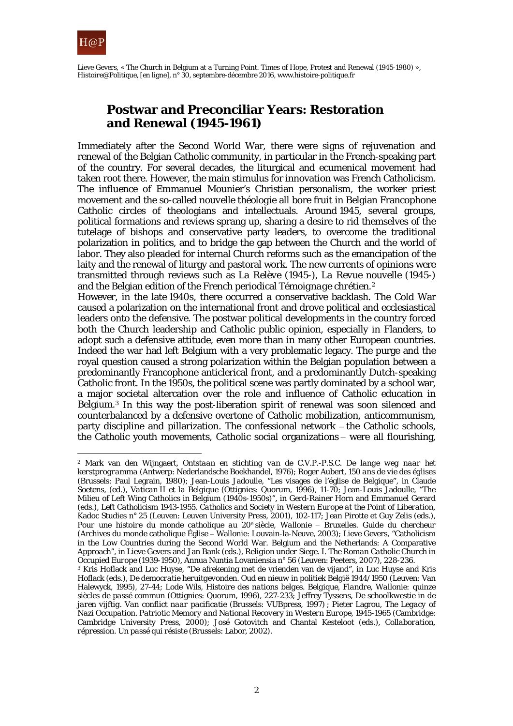

Lieve Gevers, « The Church in Belgium at a Turning Point. Times of Hope, Protest and Renewal (1945-1980) », *Histoire@Politique*, [en ligne], n° 30, septembre-décembre 2016, www.histoire-politique.fr

# **Postwar and Preconciliar Years: Restoration and Renewal (1945-1961)**

Immediately after the Second World War, there were signs of rejuvenation and renewal of the Belgian Catholic community, in particular in the French-speaking part of the country. For several decades, the liturgical and ecumenical movement had taken root there. However, the main stimulus for innovation was French Catholicism. The influence of Emmanuel Mounier's Christian personalism, the worker priest movement and the so-called *nouvelle théologie* all bore fruit in Belgian Francophone Catholic circles of theologians and intellectuals. Around 1945, several groups, political formations and reviews sprang up, sharing a desire to rid themselves of the tutelage of bishops and conservative party leaders, to overcome the traditional polarization in politics, and to bridge the gap between the Church and the world of labor. They also pleaded for internal Church reforms such as the emancipation of the laity and the renewal of liturgy and pastoral work. The new currents of opinions were transmitted through reviews such as *La Relève* (1945-), *La Revue nouvelle* (1945-) and the Belgian edition of the French periodical *Témoignage chrétien*.[2](#page-1-0)

However, in the late 1940s, there occurred a conservative backlash. The Cold War caused a polarization on the international front and drove political and ecclesiastical leaders onto the defensive. The postwar political developments in the country forced both the Church leadership and Catholic public opinion, especially in Flanders, to adopt such a defensive attitude, even more than in many other European countries. Indeed the war had left Belgium with a very problematic legacy. The purge and the royal question caused a strong polarization within the Belgian population between a predominantly Francophone anticlerical front, and a predominantly Dutch-speaking Catholic front. In the 1950s, the political scene was partly dominated by a school war, a major societal altercation over the role and influence of Catholic education in Belgium.[3](#page-1-1) In this way the post-liberation spirit of renewal was soon silenced and counterbalanced by a defensive overtone of Catholic mobilization, anticommunism, party discipline and pillarization. The confessional network – the Catholic schools, the Catholic youth movements, Catholic social organizations – were all flourishing,

<span id="page-1-0"></span><sup>2</sup> Mark van den Wijngaert, *Ontstaan en stichting van de C.V.P.-P.S.C. De lange weg naar het kerstprogramma* (Antwerp: Nederlandsche Boekhandel, 1976); Roger Aubert, *150 ans de vie des églises*  (Brussels: Paul Legrain, 1980); Jean-Louis Jadoulle, "Les visages de l'église de Belgique", in Claude Soetens, (ed.), *Vatican II et la Belgique* (Ottignies: Quorum, 1996), 11-70; Jean-Louis Jadoulle, "The Milieu of Left Wing Catholics in Belgium (1940s-1950s)", in Gerd-Rainer Horn and Emmanuel Gerard (eds.), *Left Catholicism 1943-1955. Catholics and Society in Western Europe at the Point of Liberation*, Kadoc Studies n° 25 (Leuven: Leuven University Press, 2001), 102-117; Jean Pirotte et Guy Zelis (eds.), *Pour une histoire du monde catholique au 20e siècle, Wallonie ‒ Bruxelles. Guide du chercheur*  (Archives du monde catholique Église ‒ Wallonie: Louvain-la-Neuve, 2003); Lieve Gevers, "Catholicism in the Low Countries during the Second World War. Belgium and the Netherlands: A Comparative Approach", in Lieve Gevers and Jan Bank (eds.), *Religion under Siege.* I. *The Roman Catholic Church in Occupied Europe (1939-1950)*, Annua Nuntia Lovaniensia n° 56 (Leuven: Peeters, 2007), 228-236.

<span id="page-1-1"></span><sup>3</sup> Kris Hoflack and Luc Huyse, "De afrekening met de vrienden van de vijand", in Luc Huyse and Kris Hoflack (eds.), *De democratie heruitgevonden. Oud en nieuw in politiek België 1944/1950* (Leuven: Van Halewyck, 1995), 27-44; Lode Wils, *Histoire des nations belges. Belgique, Flandre, Wallonie: quinze siècles de passé commun* (Ottignies: Quorum, 1996), 227-233; Jeffrey Tyssens, *De schoolkwestie in de jaren vijftig. Van conflict naar pacificatie* (Brussels: VUBpress, 1997) ; Pieter Lagrou, *The Legacy of Nazi Occupation. Patriotic Memory and National Recovery in Western Europe, 1945-1965* (Cambridge: Cambridge University Press, 2000); José Gotovitch and Chantal Kesteloot (eds.), *Collaboration, répression. Un passé qui résiste* (Brussels: Labor, 2002).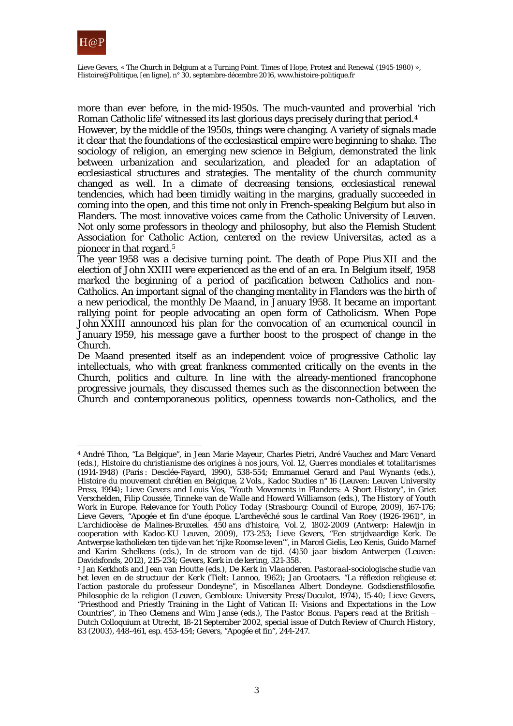

Lieve Gevers, « The Church in Belgium at a Turning Point. Times of Hope, Protest and Renewal (1945-1980) », *Histoire@Politique*, [en ligne], n° 30, septembre-décembre 2016, www.histoire-politique.fr

more than ever before, in the mid-1950s. The much-vaunted and proverbial 'rich Roman Catholic life' witnessed its last glorious days precisely during that period.[4](#page-2-0)

However, by the middle of the 1950s, things were changing. A variety of signals made it clear that the foundations of the ecclesiastical empire were beginning to shake. The sociology of religion, an emerging new science in Belgium, demonstrated the link between urbanization and secularization, and pleaded for an adaptation of ecclesiastical structures and strategies. The mentality of the church community changed as well. In a climate of decreasing tensions, ecclesiastical renewal tendencies, which had been timidly waiting in the margins, gradually succeeded in coming into the open, and this time not only in French-speaking Belgium but also in Flanders. The most innovative voices came from the Catholic University of Leuven. Not only some professors in theology and philosophy, but also the Flemish Student Association for Catholic Action, centered on the review Universitas, acted as a pioneer in that regard.<sup>5</sup>

The year 1958 was a decisive turning point. The death of Pope Pius XII and the election of John XXIII were experienced as the end of an era. In Belgium itself, 1958 marked the beginning of a period of pacification between Catholics and non-Catholics. An important signal of the changing mentality in Flanders was the birth of a new periodical, the monthly *De Maand*, in January 1958. It became an important rallying point for people advocating an open form of Catholicism. When Pope John XXIII announced his plan for the convocation of an ecumenical council in January 1959, his message gave a further boost to the prospect of change in the Church.

De Maand presented itself as an independent voice of progressive Catholic lay intellectuals, who with great frankness commented critically on the events in the Church, politics and culture. In line with the already-mentioned francophone progressive journals, they discussed themes such as the disconnection between the Church and contemporaneous politics, openness towards non-Catholics, and the

<span id="page-2-0"></span><sup>4</sup> André Tihon, "La Belgique", in Jean Marie Mayeur, Charles Pietri, André Vauchez and Marc Venard (eds.), *Histoire du christianisme des origines à nos jours,* Vol. 12, *Guerres mondiales et totalitarismes (1914-1948)* (Paris : Desclée-Fayard, 1990), 538-554; Emmanuel Gerard and Paul Wynants (eds.), *Histoire du mouvement chrétien en Belgique,* 2 Vols., Kadoc Studies n° 16 (Leuven: Leuven University Press, 1994); Lieve Gevers and Louis Vos, "Youth Movements in Flanders: A Short History", in Griet Verschelden, Filip Coussée, Tinneke van de Walle and Howard Williamson (eds.), *The History of Youth Work in Europe. Relevance for Youth Policy Today* (Strasbourg: Council of Europe, 2009), 167-176; Lieve Gevers, "Apogée et fin d'une époque. L'archevêché sous le cardinal Van Roey (1926-1961)", in *L'archidiocèse de Malines-Bruxelles. 450 ans d'histoire,* Vol. 2, *1802-2009* (Antwerp: Halewijn in cooperation with Kadoc-KU Leuven, 2009), 173-253; Lieve Gevers, "Een strijdvaardige Kerk. De Antwerpse katholieken ten tijde van het 'rijke Roomse leven'", in Marcel Gielis, Leo Kenis, Guido Marnef and Karim Schelkens (eds.), *In de stroom van de tijd. (4)50 jaar bisdom Antwerpen* (Leuven: Davidsfonds, 2012), 215-234; Gevers, *Kerk in de kering*, 321-358.

<span id="page-2-1"></span><sup>5</sup> Jan Kerkhofs and Jean van Houtte (eds.), *De Kerk in Vlaanderen. Pastoraal-sociologische studie van het leven en de structuur der Kerk* (Tielt: Lannoo, 1962); Jan Grootaers. "La réflexion religieuse et l'action pastorale du professeur Dondeyne", in *Miscellanea Albert Dondeyne. Godsdienstfilosofie. Philosophie de la religion* (Leuven, Gembloux: University Press/Duculot, 1974), 15-40; Lieve Gevers, "Priesthood and Priestly Training in the Light of Vatican II: Visions and Expectations in the Low Countries", in Theo Clemens and Wim Janse (eds.), *The Pastor Bonus. Papers read at the British – Dutch Colloquium at Utrecht, 18-21 September 2002*, special issue of *Dutch Review of Church History*, 83 (2003), 448-461, esp. 453-454; Gevers, "Apogée et fin"*,* 244-247.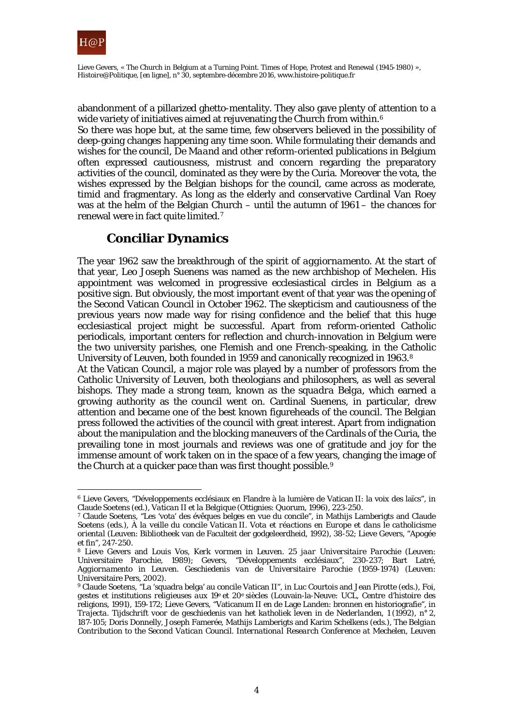

abandonment of a pillarized ghetto-mentality. They also gave plenty of attention to a wide variety of initiatives aimed at rejuvenating the Church from within.<sup>[6](#page-3-0)</sup> So there was hope but, at the same time, few observers believed in the possibility of deep-going changes happening any time soon. While formulating their demands and wishes for the council, *De Maand* and other reform-oriented publications in Belgium often expressed cautiousness, mistrust and concern regarding the preparatory activities of the council, dominated as they were by the Curia. Moreover the vota, the wishes expressed by the Belgian bishops for the council, came across as moderate, timid and fragmentary. As long as the elderly and conservative Cardinal Van Roey was at the helm of the Belgian Church – until the autumn of 1961 – the chances for renewal were in fact quite limited.[7](#page-3-1)

# **Conciliar Dynamics**

The year 1962 saw the breakthrough of the spirit of *aggiornamento*. At the start of that year, Leo Joseph Suenens was named as the new archbishop of Mechelen. His appointment was welcomed in progressive ecclesiastical circles in Belgium as a positive sign. But obviously, the most important event of that year was the opening of the Second Vatican Council in October 1962. The skepticism and cautiousness of the previous years now made way for rising confidence and the belief that this huge ecclesiastical project might be successful. Apart from reform-oriented Catholic periodicals, important centers for reflection and church-innovation in Belgium were the two university parishes, one Flemish and one French-speaking, in the Catholic University of Leuven, both founded in 1959 and canonically recognized in 1963.[8](#page-3-2)

At the Vatican Council, a major role was played by a number of professors from the Catholic University of Leuven, both theologians and philosophers, as well as several bishops. They made a strong team, known as the *squadra Belga*, which earned a growing authority as the council went on. Cardinal Suenens, in particular, drew attention and became one of the best known figureheads of the council. The Belgian press followed the activities of the council with great interest. Apart from indignation about the manipulation and the blocking maneuvers of the Cardinals of the Curia, the prevailing tone in most journals and reviews was one of gratitude and joy for the immense amount of work taken on in the space of a few years, changing the image of the Church at a quicker pace than was first thought possible.<sup>[9](#page-3-3)</sup>

<span id="page-3-0"></span> $\overline{a}$ <sup>6</sup> Lieve Gevers, "Développements ecclésiaux en Flandre à la lumière de Vatican II: la voix des laïcs", in Claude Soetens (ed.), *Vatican II et la Belgique* (Ottignies: Quorum, 1996), 223-250.

<span id="page-3-1"></span><sup>7</sup> Claude Soetens, "Les 'vota' des évêques belges en vue du concile", in Mathijs Lamberigts and Claude Soetens (eds.), *À la veille du concile Vatican II. Vota et réactions en Europe et dans le catholicisme oriental* (Leuven: Bibliotheek van de Faculteit der godgeleerdheid, 1992), 38-52; Lieve Gevers, "Apogée

<span id="page-3-2"></span>et fin", 247-250.<br><sup>8</sup> Lieve Gevers and Louis Vos, *Kerk vormen in Leuven. 25 jaar Universitaire Parochie* (Leuven: Universitaire Parochie, 1989); Gevers, "Développements ecclésiaux", 230-237; Bart Latré, *Aggiornamento in Leuven. Geschiedenis van de Universitaire Parochie (1959-1974)* (Leuven: Universitaire Pers, 2002).

<span id="page-3-3"></span><sup>9</sup> Claude Soetens, "La 'squadra belga' au concile Vatican II", in Luc Courtois and Jean Pirotte (eds.), *Foi, gestes et institutions religieuses aux 19e et 20e siècles* (Louvain-la-Neuve: UCL, Centre d'histoire des religions, 1991), 159-172; Lieve Gevers, "Vaticanum II en de Lage Landen: bronnen en historiografie", in *Trajecta. Tijdschrift voor de geschiedenis van het katholiek leven in de Nederlanden*, 1 (1992), n° 2, 187-105; Doris Donnelly, Joseph Famerée, Mathijs Lamberigts and Karim Schelkens (eds.), *The Belgian Contribution to the Second Vatican Council*. *International Research Conference at Mechelen, Leuven*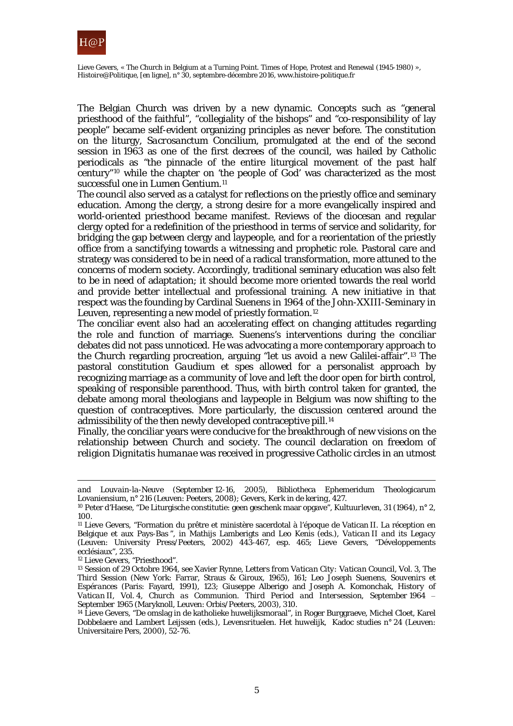

The Belgian Church was driven by a new dynamic. Concepts such as "general priesthood of the faithful", "collegiality of the bishops" and "co-responsibility of lay people" became self-evident organizing principles as never before. The constitution on the liturgy, *Sacrosanctum Concilium*, promulgated at the end of the second session in 1963 as one of the first decrees of the council, was hailed by Catholic periodicals as "the pinnacle of the entire liturgical movement of the past half century"[10](#page-4-0) while the chapter on 'the people of God' was characterized as the most successful one in *Lumen Gentium*.<sup>[11](#page-4-1)</sup>

The council also served as a catalyst for reflections on the priestly office and seminary education. Among the clergy, a strong desire for a more evangelically inspired and world-oriented priesthood became manifest. Reviews of the diocesan and regular clergy opted for a redefinition of the priesthood in terms of service and solidarity, for bridging the gap between clergy and laypeople, and for a reorientation of the priestly office from a sanctifying towards a witnessing and prophetic role. Pastoral care and strategy was considered to be in need of a radical transformation, more attuned to the concerns of modern society. Accordingly, traditional seminary education was also felt to be in need of adaptation; it should become more oriented towards the real world and provide better intellectual and professional training. A new initiative in that respect was the founding by Cardinal Suenens in 1964 of the John-XXIII-Seminary in Leuven, representing a new model of priestly formation.<sup>[12](#page-4-2)</sup>

The conciliar event also had an accelerating effect on changing attitudes regarding the role and function of marriage. Suenens's interventions during the conciliar debates did not pass unnoticed. He was advocating a more contemporary approach to the Church regarding procreation, arguing "let us avoid a new Galilei-affair".[13](#page-4-3) The pastoral constitution *Gaudium et spes* allowed for a personalist approach by recognizing marriage as a community of love and left the door open for birth control, speaking of responsible parenthood. Thus, with birth control taken for granted, the debate among moral theologians and laypeople in Belgium was now shifting to the question of contraceptives. More particularly, the discussion centered around the admissibility of the then newly developed contraceptive pill.<sup>[14](#page-4-4)</sup>

Finally, the conciliar years were conducive for the breakthrough of new visions on the relationship between Church and society. The council declaration on freedom of religion *Dignitatis humanae* was received in progressive Catholic circles in an utmost

<span id="page-4-2"></span><sup>12</sup> Lieve Gevers, "Priesthood".

 $\overline{a}$ 

*and Louvain-la-Neuve (September 12-16, 2005)*, Bibliotheca Ephemeridum Theologicarum Lovaniensium, n° 216 (Leuven: Peeters, 2008); Gevers, *Kerk in de kering*, 427.

<span id="page-4-0"></span><sup>10</sup> Peter d'Haese, "De Liturgische constitutie: geen geschenk maar opgave", *Kultuurleven*, 31 (1964), n° 2, 100.

<span id="page-4-1"></span><sup>11</sup> Lieve Gevers, "Formation du prêtre et ministère sacerdotal à l'époque de Vatican II. La réception en Belgique et aux Pays-Bas ", in Mathijs Lamberigts and Leo Kenis (eds.), *Vatican II and its Legacy*  (Leuven: University Press/Peeters, 2002) 443-467, esp. 465; Lieve Gevers, "Développements ecclésiaux", 235.

<span id="page-4-3"></span><sup>13</sup> Session of 29 Octobre 1964, see Xavier Rynne, *Letters from Vatican City: Vatican Council*, Vol. 3, *The Third Session* (New York: Farrar, Straus & Giroux, 1965), 161; Leo Joseph Suenens, *Souvenirs et Espérances* (Paris: Fayard, 1991), 123; Giuseppe Alberigo and Joseph A. Komonchak, *History of Vatican II*, Vol. 4, *Church as Communion. Third Period and Intersession, September 1964 ‒ September 1965* (Maryknoll, Leuven: Orbis/Peeters, 2003), 310.

<span id="page-4-4"></span><sup>14</sup> Lieve Gevers, "De omslag in de katholieke huwelijksmoraal", in Roger Burggraeve, Michel Cloet, Karel Dobbelaere and Lambert Leijssen (eds.), *Levensrituelen. Het huwelijk*, Kadoc studies n° 24 (Leuven: Universitaire Pers, 2000), 52-76.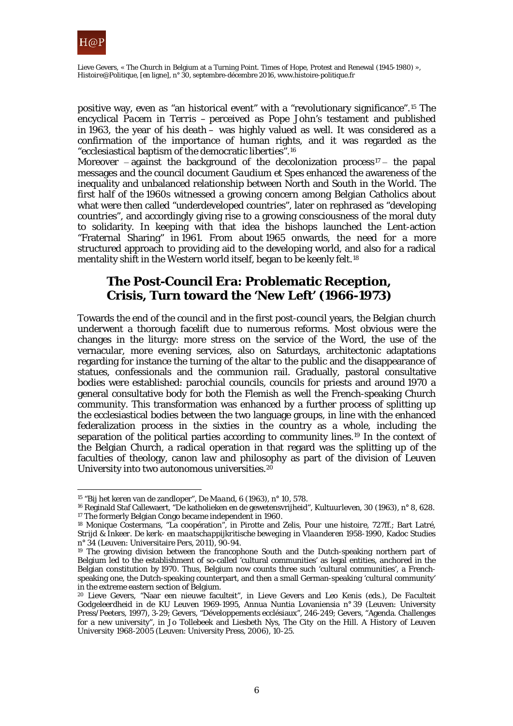

Lieve Gevers, « The Church in Belgium at a Turning Point. Times of Hope, Protest and Renewal (1945-1980) », *Histoire@Politique*, [en ligne], n° 30, septembre-décembre 2016, www.histoire-politique.fr

positive way, even as "an historical event" with a "revolutionary significance".[15](#page-5-0) The encyclical *Pacem in Terris* – perceived as Pope John's testament and published in 1963, the year of his death – was highly valued as well. It was considered as a confirmation of the importance of human rights, and it was regarded as the "ecclesiastical baptism of the democratic liberties".[16](#page-5-1)

Moreover – against the background of the decolonization process<sup>[17](#page-5-2)</sup> – the papal messages and the council document *Gaudium et Spes* enhanced the awareness of the inequality and unbalanced relationship between North and South in the World. The first half of the 1960s witnessed a growing concern among Belgian Catholics about what were then called "underdeveloped countries", later on rephrased as "developing countries", and accordingly giving rise to a growing consciousness of the moral duty to solidarity. In keeping with that idea the bishops launched the Lent-action "Fraternal Sharing" in 1961. From about 1965 onwards, the need for a more structured approach to providing aid to the developing world, and also for a radical mentality shift in the Western world itself, began to be keenly felt.[18](#page-5-3)

# **The Post-Council Era: Problematic Reception, Crisis, Turn toward the 'New Left' (1966-1973)**

Towards the end of the council and in the first post-council years, the Belgian church underwent a thorough facelift due to numerous reforms. Most obvious were the changes in the liturgy: more stress on the service of the Word, the use of the vernacular, more evening services, also on Saturdays, architectonic adaptations regarding for instance the turning of the altar to the public and the disappearance of statues, confessionals and the communion rail. Gradually, pastoral consultative bodies were established: parochial councils, councils for priests and around 1970 a general consultative body for both the Flemish as well the French-speaking Church community. This transformation was enhanced by a further process of splitting up the ecclesiastical bodies between the two language groups, in line with the enhanced federalization process in the sixties in the country as a whole, including the separation of the political parties according to community lines.[19](#page-5-4) In the context of the Belgian Church, a radical operation in that regard was the splitting up of the faculties of theology, canon law and philosophy as part of the division of Leuven University into two autonomous universities.<sup>[20](#page-5-5)</sup>

<sup>15</sup> "Bij het keren van de zandloper", *De Maand*, 6 (1963), n° 10, 578.

<span id="page-5-1"></span><span id="page-5-0"></span><sup>16</sup> Reginald Staf Callewaert, "De katholieken en de gewetensvrijheid", *Kultuurleven*, 30 (1963), n° 8, 628. <sup>17</sup> The formerly Belgian Congo became independent in 1960.

<span id="page-5-3"></span><span id="page-5-2"></span><sup>18</sup> Monique Costermans, "La coopération", in Pirotte and Zelis, *Pour une histoire*, 727ff.; Bart Latré, *Strijd & Inkeer. De kerk- en maatschappijkritische beweging in Vlaanderen 1958-1990*, Kadoc Studies n° 34 (Leuven: Universitaire Pers, 2011), 90-94.

<span id="page-5-4"></span><sup>&</sup>lt;sup>19</sup> The growing division between the francophone South and the Dutch-speaking northern part of Belgium led to the establishment of so-called 'cultural communities' as legal entities, anchored in the Belgian constitution by 1970. Thus, Belgium now counts three such 'cultural communities', a Frenchspeaking one, the Dutch-speaking counterpart, and then a small German-speaking 'cultural community' in the extreme eastern section of Belgium.

<span id="page-5-5"></span><sup>20</sup> Lieve Gevers, "Naar een nieuwe faculteit", in Lieve Gevers and Leo Kenis (eds.), *De Faculteit Godgeleerdheid in de KU Leuven 1969-1995*, Annua Nuntia Lovaniensia n° 39 (Leuven: University Press/Peeters, 1997), 3-29; Gevers, "Développements ecclésiaux", 246-249; Gevers, "Agenda. Challenges for a new university", in Jo Tollebeek and Liesbeth Nys, *The City on the Hill. A History of Leuven University 1968-2005* (Leuven: University Press, 2006), 10-25.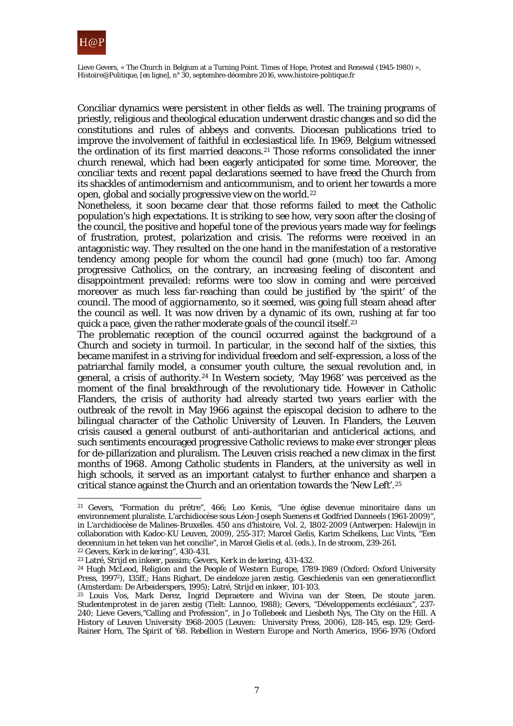

Conciliar dynamics were persistent in other fields as well. The training programs of priestly, religious and theological education underwent drastic changes and so did the constitutions and rules of abbeys and convents. Diocesan publications tried to improve the involvement of faithful in ecclesiastical life. In 1969, Belgium witnessed the ordination of its first married deacons.[21](#page-6-0) Those reforms consolidated the inner church renewal, which had been eagerly anticipated for some time. Moreover, the conciliar texts and recent papal declarations seemed to have freed the Church from its shackles of antimodernism and anticommunism, and to orient her towards a more open, global and socially progressive view on the world.[22](#page-6-1)

Nonetheless, it soon became clear that those reforms failed to meet the Catholic population's high expectations. It is striking to see how, very soon after the closing of the council, the positive and hopeful tone of the previous years made way for feelings of frustration, protest, polarization and crisis. The reforms were received in an antagonistic way. They resulted on the one hand in the manifestation of a restorative tendency among people for whom the council had gone (much) too far. Among progressive Catholics, on the contrary, an increasing feeling of discontent and disappointment prevailed: reforms were too slow in coming and were perceived moreover as much less far-reaching than could be justified by 'the spirit' of the council. The mood of *aggiornamento*, so it seemed, was going full steam ahead after the council as well. It was now driven by a dynamic of its own, rushing at far too quick a pace, given the rather moderate goals of the council itself.[23](#page-6-2)

The problematic reception of the council occurred against the background of a Church and society in turmoil. In particular, in the second half of the sixties, this became manifest in a striving for individual freedom and self-expression, a loss of the patriarchal family model, a consumer youth culture, the sexual revolution and, in general, a crisis of authority.[24](#page-6-3) In Western society, 'May 1968' was perceived as the moment of the final breakthrough of the revolutionary tide. However in Catholic Flanders, the crisis of authority had already started two years earlier with the outbreak of the revolt in May 1966 against the episcopal decision to adhere to the bilingual character of the Catholic University of Leuven. In Flanders, the Leuven crisis caused a general outburst of anti-authoritarian and anticlerical actions, and such sentiments encouraged progressive Catholic reviews to make ever stronger pleas for de-pillarization and pluralism. The Leuven crisis reached a new climax in the first months of 1968. Among Catholic students in Flanders, at the university as well in high schools, it served as an important catalyst to further enhance and sharpen a critical stance against the Church and an orientation towards the 'New Left'.[25](#page-6-4)

 $\overline{a}$ 

<span id="page-6-0"></span><sup>&</sup>lt;sup>21</sup> Gevers, "Formation du prêtre", 466; Leo Kenis, "Une église devenue minoritaire dans un environnement pluraliste. L'archidiocèse sous Léon-Joseph Suenens et Godfried Danneels (1961-2009)", in *L'archidiocèse de Malines-Bruxelles. 450 ans d'histoire,* Vol. 2, *1802-2009* (Antwerpen: Halewijn in collaboration with Kadoc-KU Leuven, 2009), 255-317; Marcel Gielis, Karim Schelkens, Luc Vints, "Een decennium in het teken van het concilie", in Marcel Gielis *et al.* (eds.), *In de stroom*, 239-261.

<span id="page-6-1"></span><sup>22</sup> Gevers, *Kerk in de kering*", 430-431.

<span id="page-6-2"></span><sup>23</sup> Latré, *Strijd en inkeer*, passim; Gevers, *Kerk in de kering*, 431-432.

<span id="page-6-3"></span><sup>24</sup> Hugh McLeod, *Religion and the People of Western Europe, 1789-1989* (Oxford: Oxford University Press, 19972), 135ff.; Hans Righart, *De eindeloze jaren zestig. Geschiedenis van een generatieconflict* (Amsterdam: De Arbeiderspers, 1995); Latré, *Strijd en inkeer*, 101-103.

<span id="page-6-4"></span><sup>25</sup> Louis Vos, Mark Derez, Ingrid Depraetere and Wivina van der Steen, *De stoute jaren. Studentenprotest in de jaren zestig* (Tielt: Lannoo, 1988); Gevers, "Développements ecclésiaux", 237- 240; Lieve Gevers,"Calling and Profession", in Jo Tollebeek and Liesbeth Nys, *The City on the Hill. A History of Leuven University 1968-2005* (Leuven: University Press, 2006), 128-145, esp. 129; Gerd-Rainer Horn, *The Spirit of '68. Rebellion in Western Europe and North America, 1956-1976* (Oxford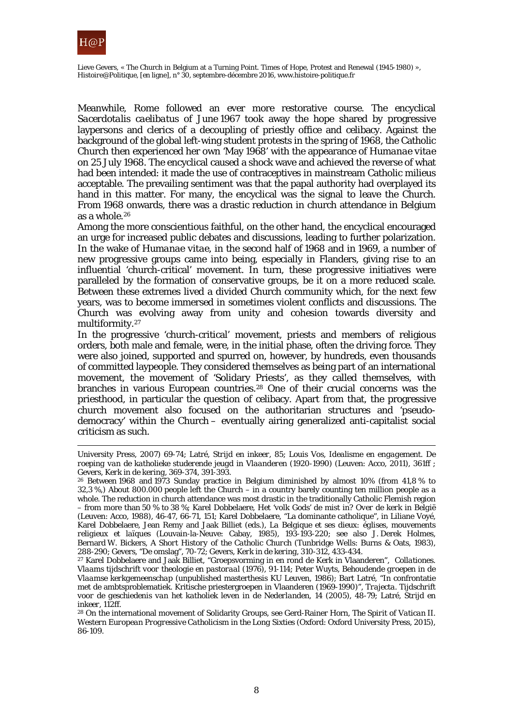

Meanwhile, Rome followed an ever more restorative course. The encyclical *Sacerdotalis caelibatus* of June 1967 took away the hope shared by progressive laypersons and clerics of a decoupling of priestly office and celibacy. Against the background of the global left-wing student protests in the spring of 1968, the Catholic Church then experienced her own 'May 1968' with the appearance of *Humanae vitae* on 25 July 1968. The encyclical caused a shock wave and achieved the reverse of what had been intended: it made the use of contraceptives in mainstream Catholic *milieus* acceptable. The prevailing sentiment was that the papal authority had overplayed its hand in this matter. For many, the encyclical was the signal to leave the Church. From 1968 onwards, there was a drastic reduction in church attendance in Belgium as a whole  $26$ 

Among the more conscientious faithful, on the other hand, the encyclical encouraged an urge for increased public debates and discussions, leading to further polarization. In the wake of *Humanae vitae*, in the second half of 1968 and in 1969, a number of new progressive groups came into being, especially in Flanders, giving rise to an influential 'church-critical' movement. In turn, these progressive initiatives were paralleled by the formation of conservative groups, be it on a more reduced scale. Between these extremes lived a divided Church community which, for the next few years, was to become immersed in sometimes violent conflicts and discussions. The Church was evolving away from unity and cohesion towards diversity and multiformity.[27](#page-7-1)

In the progressive 'church-critical' movement, priests and members of religious orders, both male and female, were, in the initial phase, often the driving force. They were also joined, supported and spurred on, however, by hundreds, even thousands of committed laypeople. They considered themselves as being part of an international movement, the movement of 'Solidary Priests', as they called themselves, with branches in various European countries.[28](#page-7-2) One of their crucial concerns was the priesthood, in particular the question of celibacy. Apart from that, the progressive church movement also focused on the authoritarian structures and 'pseudodemocracy' within the Church – eventually airing generalized anti-capitalist social criticism as such.

 $\overline{a}$ University Press, 2007) 69-74; Latré, *Strijd en inkeer*, 85; Louis Vos, *Idealisme en engagement. De roeping van de katholieke studerende jeugd in Vlaanderen (1920-1990)* (Leuven: Acco, 2011), 361ff ;

<span id="page-7-0"></span><sup>&</sup>lt;sup>26</sup> Between 1968 and 1973 Sunday practice in Belgium diminished by almost 10% (from 41,8 % to 32,3 %,) About 800.000 people left the Church – in a country barely counting ten million people as a whole. The reduction in church attendance was most drastic in the traditionally Catholic Flemish region – from more than 50 % to 38 %; Karel Dobbelaere, *Het 'volk Gods' de mist in? Over de kerk in België*  (Leuven: Acco, 1988), 46-47, 66-71, 151; Karel Dobbelaere, "La dominante catholique", in Liliane Voyé, Karel Dobbelaere, Jean Remy and Jaak Billiet (eds.), *La Belgique et ses dieux: églises, mouvements religieux et laïques* (Louvain-la-Neuve: Cabay, 1985), 193-193-220; see also J. Derek Holmes, Bernard W. Bickers, *A Short History of the Catholic Church* (Tunbridge Wells: Burns & Oats, 1983), 288-290; Gevers, "De omslag"*,* 70-72; Gevers, *Kerk in de kering*, 310-312, 433-434.

<span id="page-7-1"></span><sup>27</sup> Karel Dobbelaere and Jaak Billiet, "Groepsvorming in en rond de Kerk in Vlaanderen", *Collationes. Vlaams tijdschrift voor theologie en pastoraal* (1976), 91-114; Peter Wuyts, *Behoudende groepen in de Vlaamse kerkgemeenschap* (unpublished masterthesis KU Leuven, 1986); Bart Latré, "In confrontatie met de ambtsproblematiek. Kritische priestergroepen in Vlaanderen (1969-1990)", *Trajecta. Tijdschrift voor de geschiedenis van het katholiek leven in de Nederlanden*, 14 (2005), 48-79; Latré, *Strijd en inkeer*, 112ff.

<span id="page-7-2"></span><sup>28</sup> On the international movement of Solidarity Groups, see Gerd-Rainer Horn, *The Spirit of Vatican II. Western European Progressive Catholicism in the Long Sixties* (Oxford: Oxford University Press, 2015), 86-109.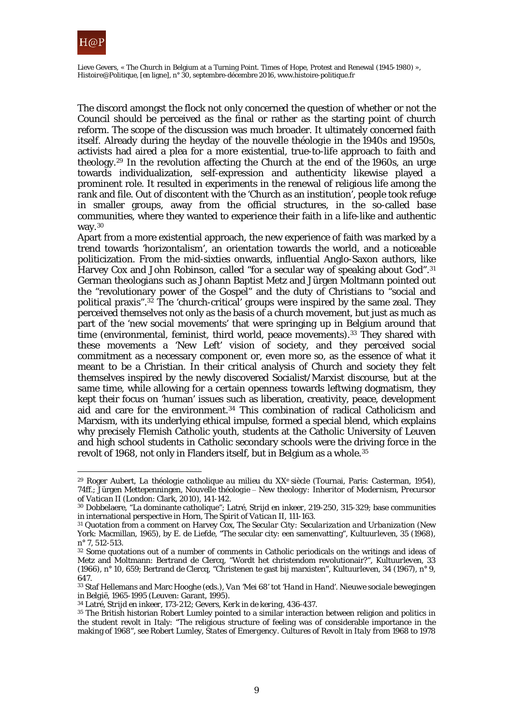

The discord amongst the flock not only concerned the question of whether or not the Council should be perceived as the final or rather as the starting point of church reform. The scope of the discussion was much broader. It ultimately concerned faith itself. Already during the heyday of the *nouvelle théologie* in the 1940s and 1950s, activists had aired a plea for a more existential, true-to-life approach to faith and theology.[29](#page-8-0) In the revolution affecting the Church at the end of the 1960s, an urge towards individualization, self-expression and authenticity likewise played a prominent role. It resulted in experiments in the renewal of religious life among the rank and file. Out of discontent with the 'Church as an institution', people took refuge in smaller groups, away from the official structures, in the so-called base communities, where they wanted to experience their faith in a life-like and authentic way.<sup>[30](#page-8-1)</sup>

Apart from a more existential approach, the new experience of faith was marked by a trend towards 'horizontalism', an orientation towards the world, and a noticeable politicization. From the mid-sixties onwards, influential Anglo-Saxon authors, like Harvey Cox and John Robinson, called "for a secular way of speaking about God".<sup>[31](#page-8-2)</sup> German theologians such as Johann Baptist Metz and Jürgen Moltmann pointed out the "revolutionary power of the Gospel" and the duty of Christians to "social and political praxis".[32](#page-8-3) The 'church-critical' groups were inspired by the same zeal. They perceived themselves not only as the basis of a church movement, but just as much as part of the 'new social movements' that were springing up in Belgium around that time (environmental, feminist, third world, peace movements).<sup>33</sup> They shared with these movements a 'New Left' vision of society, and they perceived social commitment as a necessary component or, even more so, as the essence of what it meant to be a Christian. In their critical analysis of Church and society they felt themselves inspired by the newly discovered Socialist/Marxist discourse, but at the same time, while allowing for a certain openness towards leftwing dogmatism, they kept their focus on 'human' issues such as liberation, creativity, peace, development aid and care for the environment.[34](#page-8-5) This combination of radical Catholicism and Marxism, with its underlying ethical impulse, formed a special blend, which explains why precisely Flemish Catholic youth, students at the Catholic University of Leuven and high school students in Catholic secondary schools were the driving force in the revolt of 1968, not only in Flanders itself, but in Belgium as a whole.[35](#page-8-6)

<span id="page-8-5"></span><sup>34</sup> Latré, *Strijd en inkeer*, 173-212; Gevers, *Kerk in de kering*, 436-437.

<span id="page-8-0"></span> $\overline{a}$ <sup>29</sup> Roger Aubert, *La théologie catholique au milieu du XXe siècle* (Tournai, Paris: Casterman, 1954), 74ff.; Jürgen Mettepenningen, *Nouvelle théologie ‒ New theology: Inheritor of Modernism, Precursor of Vatican II* (London: Clark, 2010), 141-142.

<span id="page-8-1"></span><sup>30</sup> Dobbelaere, "La dominante catholique"; Latré, *Strijd en inkeer*, 219-250, 315-329; base communities in international perspective in Horn, *The Spirit of Vatican II*, 111-163.

<span id="page-8-2"></span><sup>31</sup> Quotation from a comment on Harvey Cox, *The Secular City: Secularization and Urbanization* (New York: Macmillan, 1965), by E. de Liefde, "The secular city: een samenvatting", *Kultuurleven*, 35 (1968), n° 7, 512-513.

<span id="page-8-3"></span><sup>32</sup> Some quotations out of a number of comments in Catholic periodicals on the writings and ideas of Metz and Moltmann: Bertrand de Clercq, "Wordt het christendom revolutionair?", *Kultuurleven*, 33 (1966), n° 10, 659; Bertrand de Clercq, "Christenen te gast bij marxisten", *Kultuurleven*, 34 (1967), n° 9, 647.

<span id="page-8-4"></span><sup>33</sup> Staf Hellemans and Marc Hooghe (eds.), *Van 'Mei 68' tot 'Hand in Hand'. Nieuwe sociale bewegingen in België, 1965-1995* (Leuven: Garant, 1995).

<span id="page-8-6"></span><sup>35</sup> The British historian Robert Lumley pointed to a similar interaction between religion and politics in the student revolt in Italy: "The religious structure of feeling was of considerable importance in the making of 1968", see Robert Lumley, *States of Emergency. Cultures of Revolt in Italy from 1968 to 1978*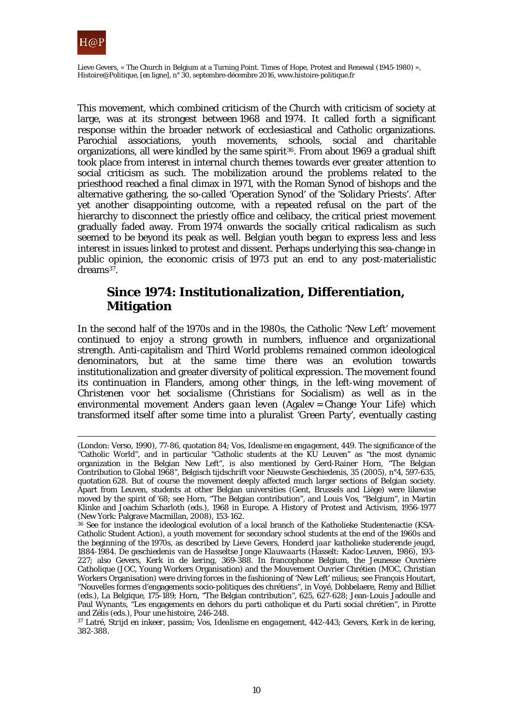

This movement, which combined criticism of the Church with criticism of society at large, was at its strongest between 1968 and 1974. It called forth a significant response within the broader network of ecclesiastical and Catholic organizations. Parochial associations, youth movements, schools, social and charitable organizations, all were kindled by the same spirit<sup>36</sup>. From about 1969 a gradual shift took place from interest in internal church themes towards ever greater attention to social criticism as such. The mobilization around the problems related to the priesthood reached a final climax in 1971, with the Roman Synod of bishops and the alternative gathering, the so-called 'Operation Synod' of the 'Solidary Priests'. After yet another disappointing outcome, with a repeated refusal on the part of the hierarchy to disconnect the priestly office and celibacy, the critical priest movement gradually faded away. From 1974 onwards the socially critical radicalism as such seemed to be beyond its peak as well. Belgian youth began to express less and less interest in issues linked to protest and dissent. Perhaps underlying this sea-change in public opinion, the economic crisis of 1973 put an end to any post-materialistic  $d$ reams<sup>37</sup>.

# **Since 1974: Institutionalization, Differentiation, Mitigation**

In the second half of the 1970s and in the 1980s, the Catholic 'New Left' movement continued to enjoy a strong growth in numbers, influence and organizational strength. Anti-capitalism and Third World problems remained common ideological denominators, but at the same time there was an evolution towards institutionalization and greater diversity of political expression. The movement found its continuation in Flanders, among other things, in the left-wing movement of *Christenen voor het socialisme* (Christians for Socialism) as well as in the environmental movement *Anders gaan leven* (Agalev = Change Your Life) which transformed itself after some time into a pluralist 'Green Party', eventually casting

 $\overline{a}$ (London: Verso, 1990), 77-86, quotation 84; Vos, *Idealisme en engagement*, 449. The significance of the "Catholic World", and in particular "Catholic students at the KU Leuven" as "the most dynamic organization in the Belgian New Left", is also mentioned by Gerd-Rainer Horn, "The Belgian Contribution to Global 1968", *Belgisch tijdschrift voor Nieuwste Geschiedenis*, 35 (2005), n°4, 597-635, quotation 628. But of course the movement deeply affected much larger sections of Belgian society. Apart from Leuven, students at other Belgian universities (Gent, Brussels and Liège) were likewise moved by the spirit of '68; see Horn, "The Belgian contribution", and Louis Vos, "Belgium", in Martin Klinke and Joachim Scharloth (eds.), *1968 in Europe. A History of Protest and Activism, 1956-1977* (New York: Palgrave Macmillan, 2008), 153-162.<br><sup>36</sup> See for instance the ideological evolution of a local branch of the Katholieke Studentenactie (KSA-

<span id="page-9-0"></span>Catholic Student Action), a youth movement for secondary school students at the end of the 1960s and the beginning of the 1970s, as described by Lieve Gevers, *Honderd jaar katholieke studerende jeugd, 1884-1984. De geschiedenis van de Hasseltse Jonge Klauwaarts* (Hasselt: Kadoc-Leuven, 1986), 193- 227; also Gevers, *Kerk in de kering*, 369-388. In francophone Belgium, the Jeunesse Ouvrière Catholique (JOC, Young Workers Organisation) and the Mouvement Ouvrier Chrétien (MOC, Christian Workers Organisation) were driving forces in the fashioning of 'New Left' milieus; see François Houtart, "Nouvelles formes d'engagements socio-politiques des chrétiens", in Voyé, Dobbelaere, Remy and Billiet (eds.), *La Belgique*, 175-189; Horn, "The Belgian contribution", 625, 627-628; Jean-Louis Jadoulle and Paul Wynants, "Les engagements en dehors du parti catholique et du Parti social chrétien", in Pirotte and Zélis (eds.), Pour une histoire, 246-248.

<span id="page-9-1"></span>and Zélis (eds.), *Pour une histoire*, 246-248. 37 Latré, *Strijd en inkeer*, passim; Vos, *Idealisme en engagement,* 442-443; Gevers, *Kerk in de kering*, 382-388.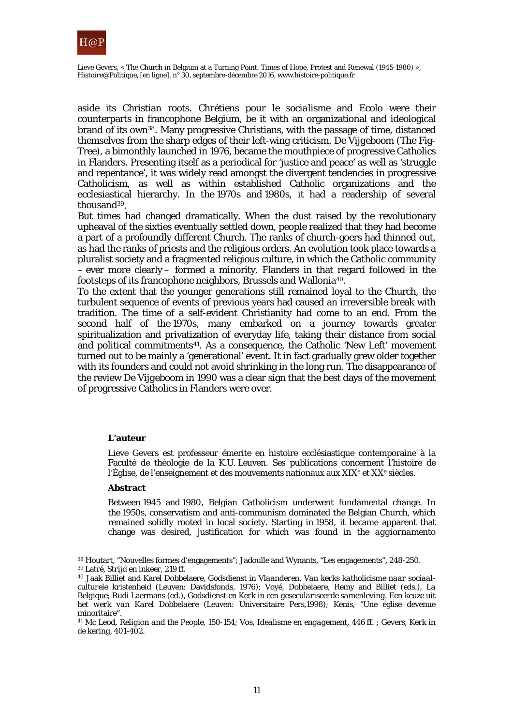

aside its Christian roots. *Chrétiens pour le socialisme* and *Ecolo* were their counterparts in francophone Belgium, be it with an organizational and ideological brand of its ow[n38](#page-10-0). Many progressive Christians, with the passage of time, distanced themselves from the sharp edges of their left-wing criticism. *De Vijgeboom* (The Fig-Tree), a bimonthly launched in 1976, became the mouthpiece of progressive Catholics in Flanders. Presenting itself as a periodical for 'justice and peace' as well as 'struggle and repentance', it was widely read amongst the divergent tendencies in progressive Catholicism, as well as within established Catholic organizations and the ecclesiastical hierarchy. In the 1970s and 1980s, it had a readership of several thousand[39.](#page-10-1)

But times had changed dramatically. When the dust raised by the revolutionary upheaval of the sixties eventually settled down, people realized that they had become a part of a profoundly different Church. The ranks of church-goers had thinned out, as had the ranks of priests and the religious orders. An evolution took place towards a pluralist society and a fragmented religious culture, in which the Catholic community – ever more clearly – formed a minority. Flanders in that regard followed in the footsteps of its francophone neighbors, Brussels and Wallonia[40](#page-10-2).

To the extent that the younger generations still remained loyal to the Church, the turbulent sequence of events of previous years had caused an irreversible break with tradition. The time of a self-evident Christianity had come to an end. From the second half of the 1970s, many embarked on a journey towards greater spiritualization and privatization of everyday life, taking their distance from social and political commitments[41](#page-10-3). As a consequence, the Catholic 'New Left' movement turned out to be mainly a 'generational' event. It in fact gradually grew older together with its founders and could not avoid shrinking in the long run. The disappearance of the review *De Vijgeboom* in 1990 was a clear sign that the best days of the movement of progressive Catholics in Flanders were over.

#### **L'auteur**

Lieve Gevers est professeur émerite en histoire ecclésiastique contemporaine à la Faculté de théologie de la K.U. Leuven. Ses publications concernent l'histoire de l'Église, de l'enseignement et des mouvements nationaux aux  $XIX<sup>e</sup>$  et  $XX<sup>e</sup>$  siècles.

#### **Abstract**

 $\overline{a}$ 

Between 1945 and 1980, Belgian Catholicism underwent fundamental change. In the 1950s, conservatism and anti-communism dominated the Belgian Church, which remained solidly rooted in local society. Starting in 1958, it became apparent that change was desired, justification for which was found in the *aggiornamento*

<span id="page-10-1"></span><span id="page-10-0"></span><sup>38</sup> Houtart, "Nouvelles formes d'engagements"; Jadoulle and Wynants, "Les engagements", 248-250. <sup>39</sup> Latré, *Strijd en inkeer*, 219 ff.

<span id="page-10-2"></span><sup>40</sup> Jaak Billiet and Karel Dobbelaere, *Godsdienst in Vlaanderen. Van kerks katholicisme naar sociaalculturele kristenheid* (Leuven: Davidsfonds, 1976); Voyé, Dobbelaere, Remy and Billiet (eds.), *La Belgique*; Rudi Laermans (ed.), *Godsdienst en Kerk in een geseculariseerde samenleving. Een keuze uit het werk van Karel Dobbelaere* (Leuven: Universitaire Pers*,*1998); Kenis, "Une église devenue minoritaire"*.*

<span id="page-10-3"></span><sup>41</sup> Mc Leod, *Religion and the People*, 150-154; Vos, *Idealisme en engagement*, 446 ff. ; Gevers, *Kerk in de kering*, 401-402.